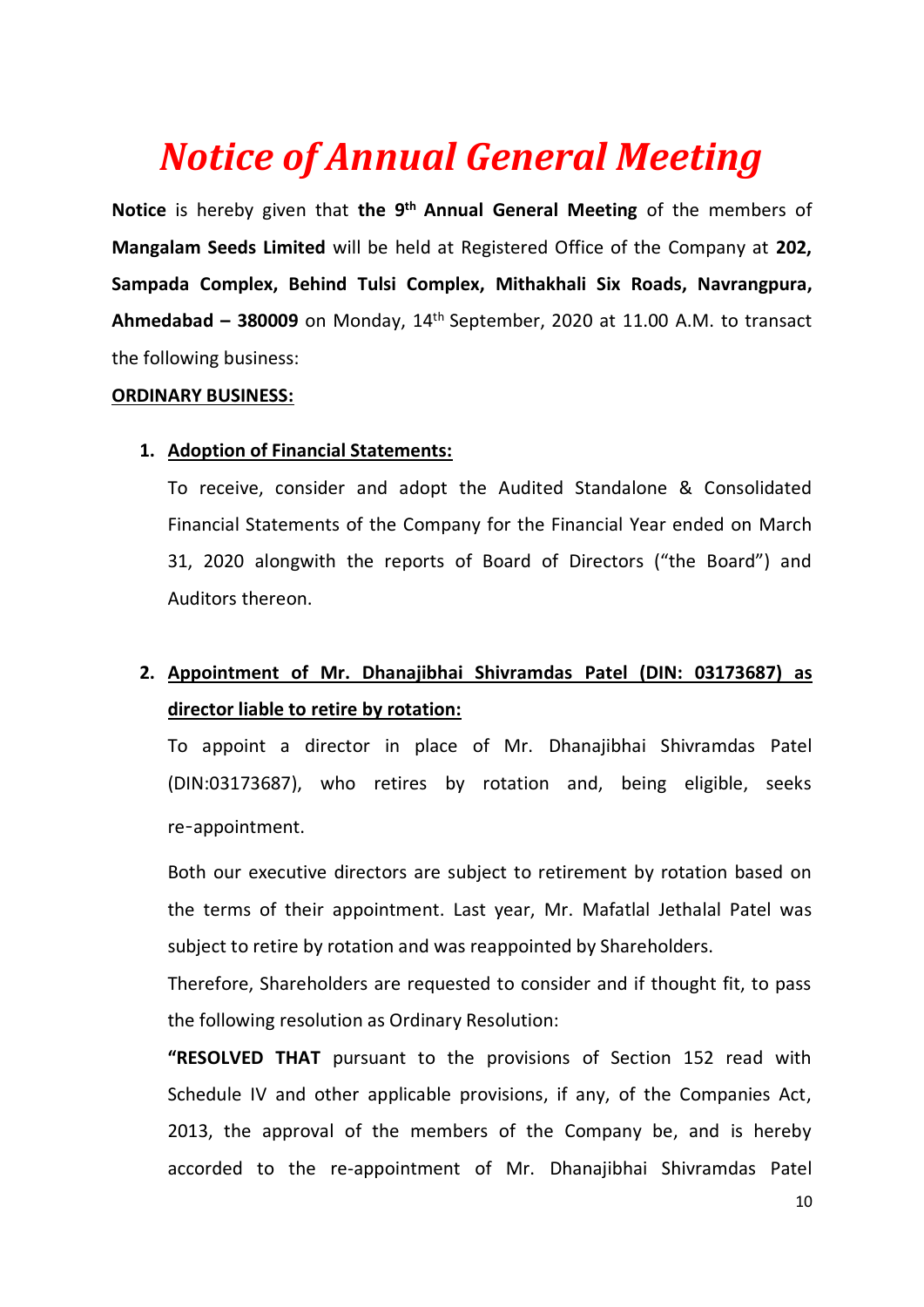# *Notice of Annual General Meeting*

**Notice** is hereby given that **the 9th Annual General Meeting** of the members of **Mangalam Seeds Limited** will be held at Registered Office of the Company at **202, Sampada Complex, Behind Tulsi Complex, Mithakhali Six Roads, Navrangpura, Ahmedabad – 380009** on Monday, 14 th September, 2020 at 11.00 A.M. to transact the following business:

## **ORDINARY BUSINESS:**

## **1. Adoption of Financial Statements:**

To receive, consider and adopt the Audited Standalone & Consolidated Financial Statements of the Company for the Financial Year ended on March 31, 2020 alongwith the reports of Board of Directors ("the Board") and Auditors thereon.

## **2. Appointment of Mr. Dhanajibhai Shivramdas Patel (DIN: 03173687) as director liable to retire by rotation:**

To appoint a director in place of Mr. Dhanajibhai Shivramdas Patel (DIN:03173687), who retires by rotation and, being eligible, seeks re‑appointment.

Both our executive directors are subject to retirement by rotation based on the terms of their appointment. Last year, Mr. Mafatlal Jethalal Patel was subject to retire by rotation and was reappointed by Shareholders.

Therefore, Shareholders are requested to consider and if thought fit, to pass the following resolution as Ordinary Resolution:

**"RESOLVED THAT** pursuant to the provisions of Section 152 read with Schedule IV and other applicable provisions, if any, of the Companies Act, 2013, the approval of the members of the Company be, and is hereby accorded to the re-appointment of Mr. Dhanajibhai Shivramdas Patel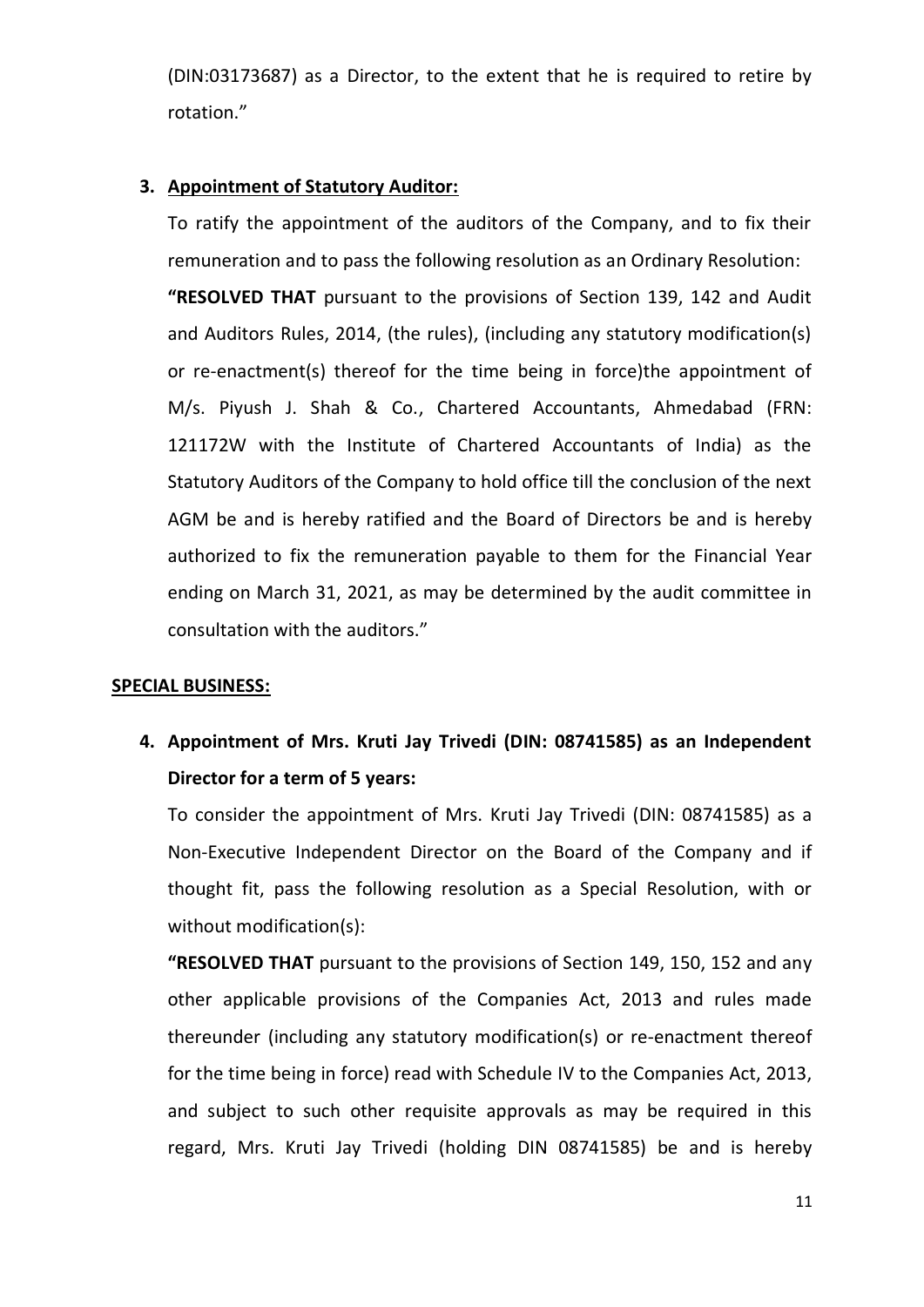(DIN:03173687) as a Director, to the extent that he is required to retire by rotation."

## **3. Appointment of Statutory Auditor:**

To ratify the appointment of the auditors of the Company, and to fix their remuneration and to pass the following resolution as an Ordinary Resolution: **"RESOLVED THAT** pursuant to the provisions of Section 139, 142 and Audit and Auditors Rules, 2014, (the rules), (including any statutory modification(s) or re-enactment(s) thereof for the time being in force)the appointment of M/s. Piyush J. Shah & Co., Chartered Accountants, Ahmedabad (FRN: 121172W with the Institute of Chartered Accountants of India) as the Statutory Auditors of the Company to hold office till the conclusion of the next AGM be and is hereby ratified and the Board of Directors be and is hereby authorized to fix the remuneration payable to them for the Financial Year ending on March 31, 2021, as may be determined by the audit committee in consultation with the auditors."

## **SPECIAL BUSINESS:**

**4. Appointment of Mrs. Kruti Jay Trivedi (DIN: 08741585) as an Independent Director for a term of 5 years:**

To consider the appointment of Mrs. Kruti Jay Trivedi (DIN: 08741585) as a Non-Executive Independent Director on the Board of the Company and if thought fit, pass the following resolution as a Special Resolution, with or without modification(s):

**"RESOLVED THAT** pursuant to the provisions of Section 149, 150, 152 and any other applicable provisions of the Companies Act, 2013 and rules made thereunder (including any statutory modification(s) or re-enactment thereof for the time being in force) read with Schedule IV to the Companies Act, 2013, and subject to such other requisite approvals as may be required in this regard, Mrs. Kruti Jay Trivedi (holding DIN 08741585) be and is hereby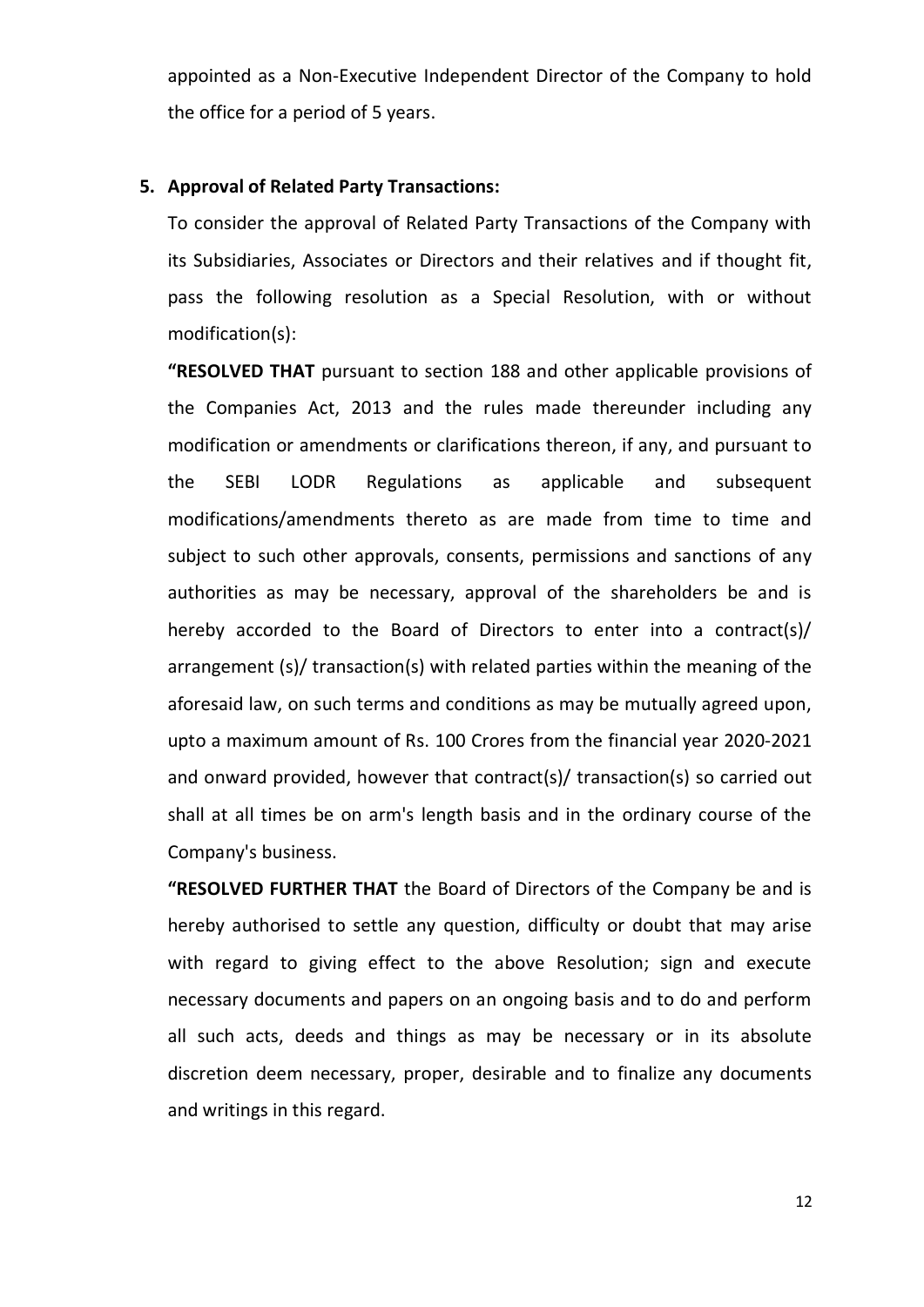appointed as a Non-Executive Independent Director of the Company to hold the office for a period of 5 years.

#### **5. Approval of Related Party Transactions:**

To consider the approval of Related Party Transactions of the Company with its Subsidiaries, Associates or Directors and their relatives and if thought fit, pass the following resolution as a Special Resolution, with or without modification(s):

**"RESOLVED THAT** pursuant to section 188 and other applicable provisions of the Companies Act, 2013 and the rules made thereunder including any modification or amendments or clarifications thereon, if any, and pursuant to the SEBI LODR Regulations as applicable and subsequent modifications/amendments thereto as are made from time to time and subject to such other approvals, consents, permissions and sanctions of any authorities as may be necessary, approval of the shareholders be and is hereby accorded to the Board of Directors to enter into a contract(s)/ arrangement (s)/ transaction(s) with related parties within the meaning of the aforesaid law, on such terms and conditions as may be mutually agreed upon, upto a maximum amount of Rs. 100 Crores from the financial year 2020-2021 and onward provided, however that contract(s)/ transaction(s) so carried out shall at all times be on arm's length basis and in the ordinary course of the Company's business.

**"RESOLVED FURTHER THAT** the Board of Directors of the Company be and is hereby authorised to settle any question, difficulty or doubt that may arise with regard to giving effect to the above Resolution; sign and execute necessary documents and papers on an ongoing basis and to do and perform all such acts, deeds and things as may be necessary or in its absolute discretion deem necessary, proper, desirable and to finalize any documents and writings in this regard.